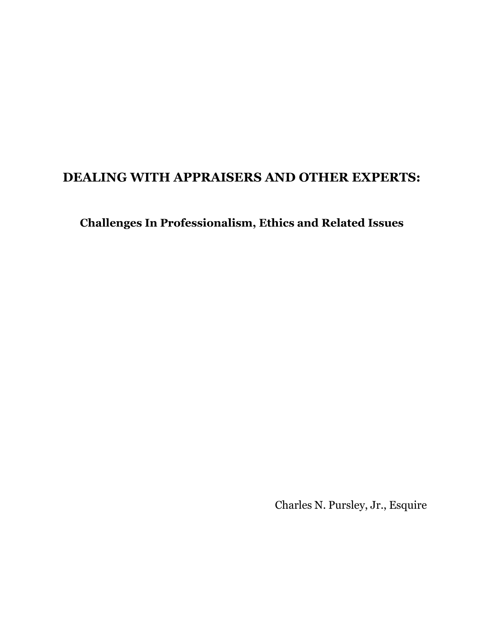## **DEALING WITH APPRAISERS AND OTHER EXPERTS:**

**Challenges In Professionalism, Ethics and Related Issues** 

Charles N. Pursley, Jr., Esquire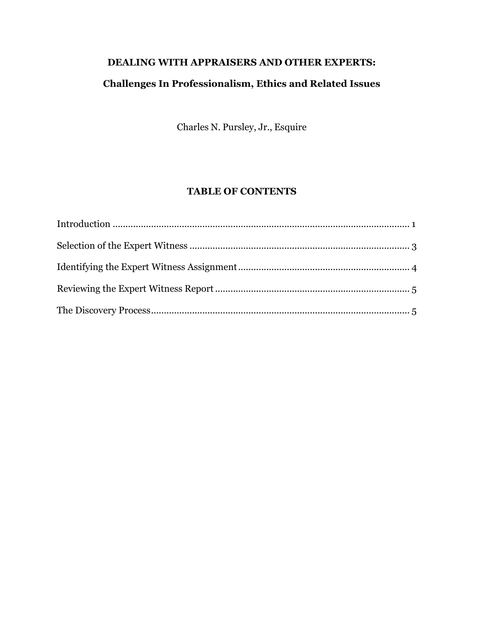# **DEALING WITH APPRAISERS AND OTHER EXPERTS: Challenges In Professionalism, Ethics and Related Issues**

Charles N. Pursley, Jr., Esquire

### **TABLE OF CONTENTS**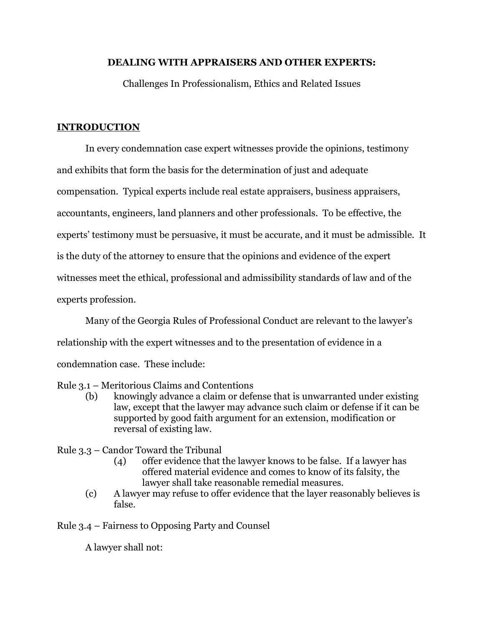#### **DEALING WITH APPRAISERS AND OTHER EXPERTS:**

Challenges In Professionalism, Ethics and Related Issues

#### **INTRODUCTION**

In every condemnation case expert witnesses provide the opinions, testimony and exhibits that form the basis for the determination of just and adequate compensation. Typical experts include real estate appraisers, business appraisers, accountants, engineers, land planners and other professionals. To be effective, the experts' testimony must be persuasive, it must be accurate, and it must be admissible. It is the duty of the attorney to ensure that the opinions and evidence of the expert witnesses meet the ethical, professional and admissibility standards of law and of the experts profession.

Many of the Georgia Rules of Professional Conduct are relevant to the lawyer's relationship with the expert witnesses and to the presentation of evidence in a condemnation case. These include:

Rule 3.1 – Meritorious Claims and Contentions

- (b) knowingly advance a claim or defense that is unwarranted under existing law, except that the lawyer may advance such claim or defense if it can be supported by good faith argument for an extension, modification or reversal of existing law.
- Rule 3.3 Candor Toward the Tribunal
	- (4) offer evidence that the lawyer knows to be false. If a lawyer has offered material evidence and comes to know of its falsity, the lawyer shall take reasonable remedial measures.
	- (c) A lawyer may refuse to offer evidence that the layer reasonably believes is false.

Rule 3.4 – Fairness to Opposing Party and Counsel

A lawyer shall not: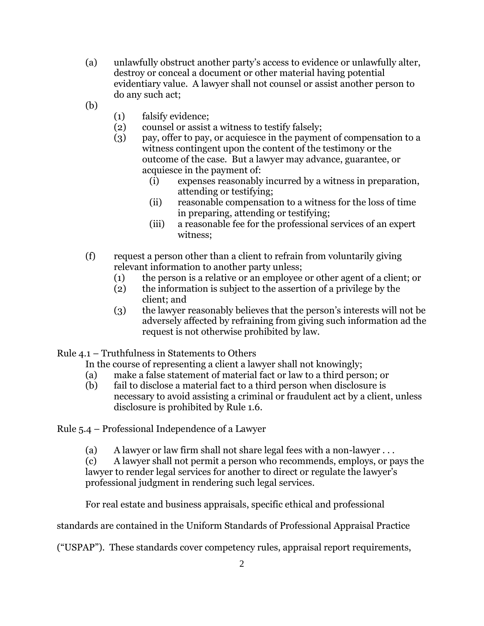- (a) unlawfully obstruct another party's access to evidence or unlawfully alter, destroy or conceal a document or other material having potential evidentiary value. A lawyer shall not counsel or assist another person to do any such act;
- (b)
- (1) falsify evidence;
- (2) counsel or assist a witness to testify falsely;
- (3) pay, offer to pay, or acquiesce in the payment of compensation to a witness contingent upon the content of the testimony or the outcome of the case. But a lawyer may advance, guarantee, or acquiesce in the payment of:
	- (i) expenses reasonably incurred by a witness in preparation, attending or testifying;
	- (ii) reasonable compensation to a witness for the loss of time in preparing, attending or testifying;
	- (iii) a reasonable fee for the professional services of an expert witness;
- (f) request a person other than a client to refrain from voluntarily giving relevant information to another party unless;
	- (1) the person is a relative or an employee or other agent of a client; or
	- (2) the information is subject to the assertion of a privilege by the client; and
	- (3) the lawyer reasonably believes that the person's interests will not be adversely affected by refraining from giving such information ad the request is not otherwise prohibited by law.

Rule 4.1 – Truthfulness in Statements to Others

In the course of representing a client a lawyer shall not knowingly;

- (a) make a false statement of material fact or law to a third person; or
- (b) fail to disclose a material fact to a third person when disclosure is necessary to avoid assisting a criminal or fraudulent act by a client, unless disclosure is prohibited by Rule 1.6.

Rule 5.4 – Professional Independence of a Lawyer

(a) A lawyer or law firm shall not share legal fees with a non-lawyer . . .

(c) A lawyer shall not permit a person who recommends, employs, or pays the lawyer to render legal services for another to direct or regulate the lawyer's professional judgment in rendering such legal services.

For real estate and business appraisals, specific ethical and professional

standards are contained in the Uniform Standards of Professional Appraisal Practice

("USPAP"). These standards cover competency rules, appraisal report requirements,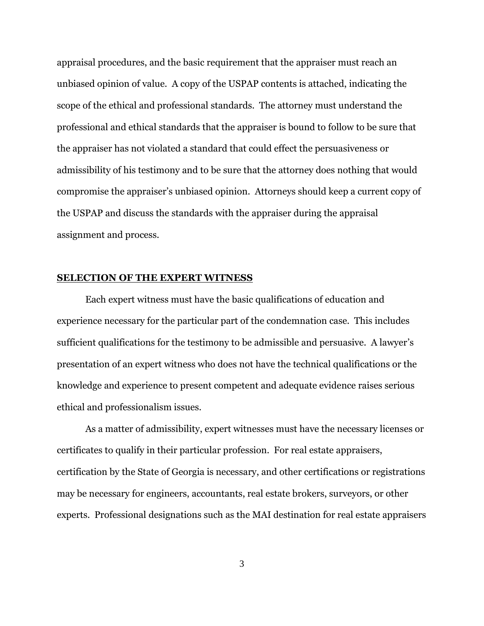appraisal procedures, and the basic requirement that the appraiser must reach an unbiased opinion of value. A copy of the USPAP contents is attached, indicating the scope of the ethical and professional standards. The attorney must understand the professional and ethical standards that the appraiser is bound to follow to be sure that the appraiser has not violated a standard that could effect the persuasiveness or admissibility of his testimony and to be sure that the attorney does nothing that would compromise the appraiser's unbiased opinion. Attorneys should keep a current copy of the USPAP and discuss the standards with the appraiser during the appraisal assignment and process.

#### **SELECTION OF THE EXPERT WITNESS**

Each expert witness must have the basic qualifications of education and experience necessary for the particular part of the condemnation case. This includes sufficient qualifications for the testimony to be admissible and persuasive. A lawyer's presentation of an expert witness who does not have the technical qualifications or the knowledge and experience to present competent and adequate evidence raises serious ethical and professionalism issues.

As a matter of admissibility, expert witnesses must have the necessary licenses or certificates to qualify in their particular profession. For real estate appraisers, certification by the State of Georgia is necessary, and other certifications or registrations may be necessary for engineers, accountants, real estate brokers, surveyors, or other experts. Professional designations such as the MAI destination for real estate appraisers

3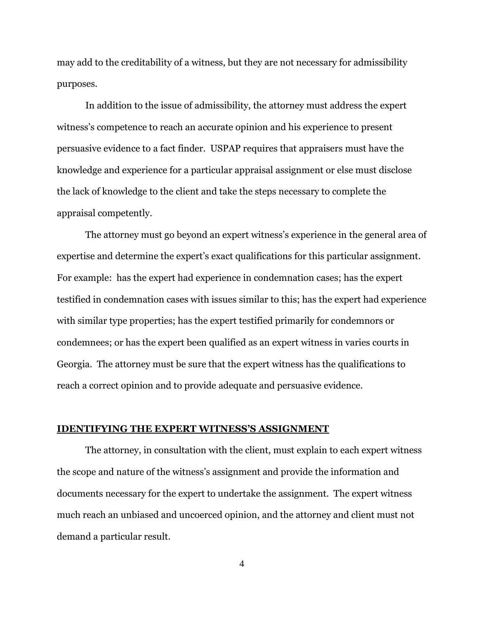may add to the creditability of a witness, but they are not necessary for admissibility purposes.

In addition to the issue of admissibility, the attorney must address the expert witness's competence to reach an accurate opinion and his experience to present persuasive evidence to a fact finder. USPAP requires that appraisers must have the knowledge and experience for a particular appraisal assignment or else must disclose the lack of knowledge to the client and take the steps necessary to complete the appraisal competently.

The attorney must go beyond an expert witness's experience in the general area of expertise and determine the expert's exact qualifications for this particular assignment. For example: has the expert had experience in condemnation cases; has the expert testified in condemnation cases with issues similar to this; has the expert had experience with similar type properties; has the expert testified primarily for condemnors or condemnees; or has the expert been qualified as an expert witness in varies courts in Georgia. The attorney must be sure that the expert witness has the qualifications to reach a correct opinion and to provide adequate and persuasive evidence.

#### **IDENTIFYING THE EXPERT WITNESS'S ASSIGNMENT**

The attorney, in consultation with the client, must explain to each expert witness the scope and nature of the witness's assignment and provide the information and documents necessary for the expert to undertake the assignment. The expert witness much reach an unbiased and uncoerced opinion, and the attorney and client must not demand a particular result.

4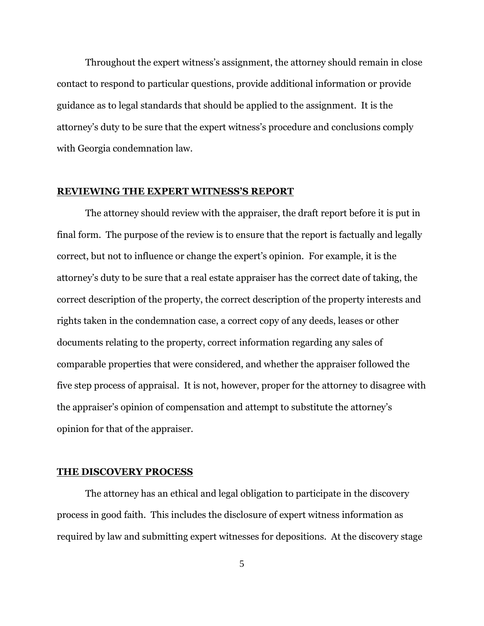Throughout the expert witness's assignment, the attorney should remain in close contact to respond to particular questions, provide additional information or provide guidance as to legal standards that should be applied to the assignment. It is the attorney's duty to be sure that the expert witness's procedure and conclusions comply with Georgia condemnation law.

#### **REVIEWING THE EXPERT WITNESS'S REPORT**

The attorney should review with the appraiser, the draft report before it is put in final form. The purpose of the review is to ensure that the report is factually and legally correct, but not to influence or change the expert's opinion. For example, it is the attorney's duty to be sure that a real estate appraiser has the correct date of taking, the correct description of the property, the correct description of the property interests and rights taken in the condemnation case, a correct copy of any deeds, leases or other documents relating to the property, correct information regarding any sales of comparable properties that were considered, and whether the appraiser followed the five step process of appraisal. It is not, however, proper for the attorney to disagree with the appraiser's opinion of compensation and attempt to substitute the attorney's opinion for that of the appraiser.

#### **THE DISCOVERY PROCESS**

The attorney has an ethical and legal obligation to participate in the discovery process in good faith. This includes the disclosure of expert witness information as required by law and submitting expert witnesses for depositions. At the discovery stage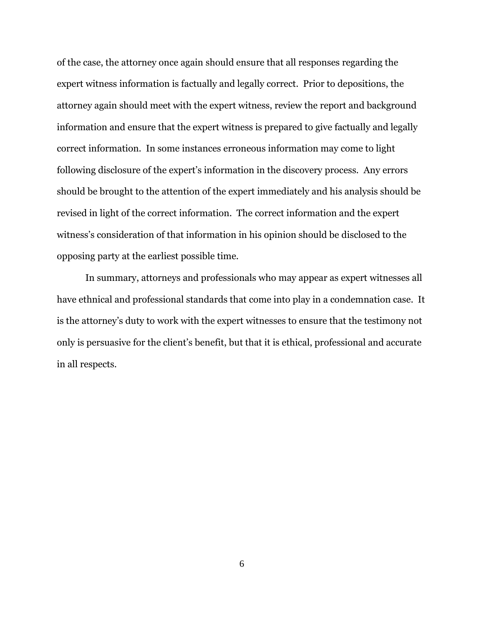of the case, the attorney once again should ensure that all responses regarding the expert witness information is factually and legally correct. Prior to depositions, the attorney again should meet with the expert witness, review the report and background information and ensure that the expert witness is prepared to give factually and legally correct information. In some instances erroneous information may come to light following disclosure of the expert's information in the discovery process. Any errors should be brought to the attention of the expert immediately and his analysis should be revised in light of the correct information. The correct information and the expert witness's consideration of that information in his opinion should be disclosed to the opposing party at the earliest possible time.

In summary, attorneys and professionals who may appear as expert witnesses all have ethnical and professional standards that come into play in a condemnation case. It is the attorney's duty to work with the expert witnesses to ensure that the testimony not only is persuasive for the client's benefit, but that it is ethical, professional and accurate in all respects.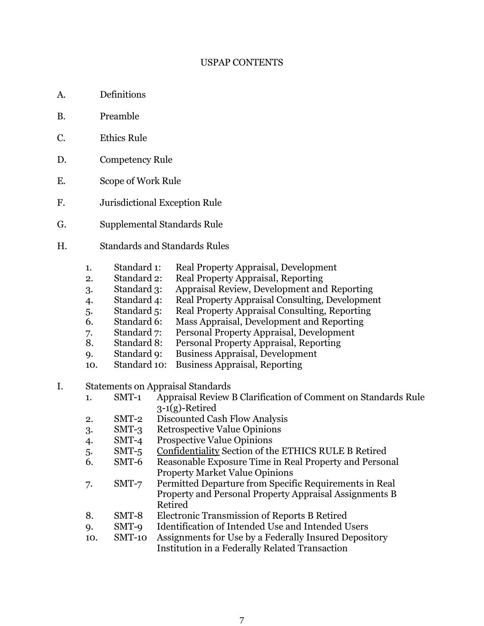#### USPAP CONTENTS

- A. Definitions
- B. Preamble
- C. Ethics Rule
- D. Competency Rule
- E. Scope of Work Rule
- F. Jurisdictional Exception Rule
- G. Supplemental Standards Rule
- H. Standards and Standards Rules
	- 1. Standard 1: Real Property Appraisal, Development
	- 2. Standard 2: Real Property Appraisal, Reporting
	- 3. Standard 3: Appraisal Review, Development and Reporting
	- 4. Standard 4: Real Property Appraisal Consulting, Development
	- 5. Standard 5: Real Property Appraisal Consulting, Reporting
	- 6. Standard 6: Mass Appraisal, Development and Reporting
	- 7. Standard 7: Personal Property Appraisal, Development
	- 8. Standard 8: Personal Property Appraisal, Reporting
	- 9. Standard 9: Business Appraisal, Development
	- 10. Standard 10: Business Appraisal, Reporting
- I. Statements on Appraisal Standards
	- 1. SMT-1 Appraisal Review B Clarification of Comment on Standards Rule 3-1(g)-Retired
	- 2. SMT-2 Discounted Cash Flow Analysis
	- 3. SMT-3 Retrospective Value Opinions
	- 4. SMT-4 Prospective Value Opinions
	- 5. SMT-5 Confidentiality Section of the ETHICS RULE B Retired
	- 6. SMT-6 Reasonable Exposure Time in Real Property and Personal Property Market Value Opinions
	- 7. SMT-7 Permitted Departure from Specific Requirements in Real Property and Personal Property Appraisal Assignments B Retired
	- 8. SMT-8 Electronic Transmission of Reports B Retired
	- 9. SMT-9 Identification of Intended Use and Intended Users
	- 10. SMT-10 Assignments for Use by a Federally Insured Depository Institution in a Federally Related Transaction